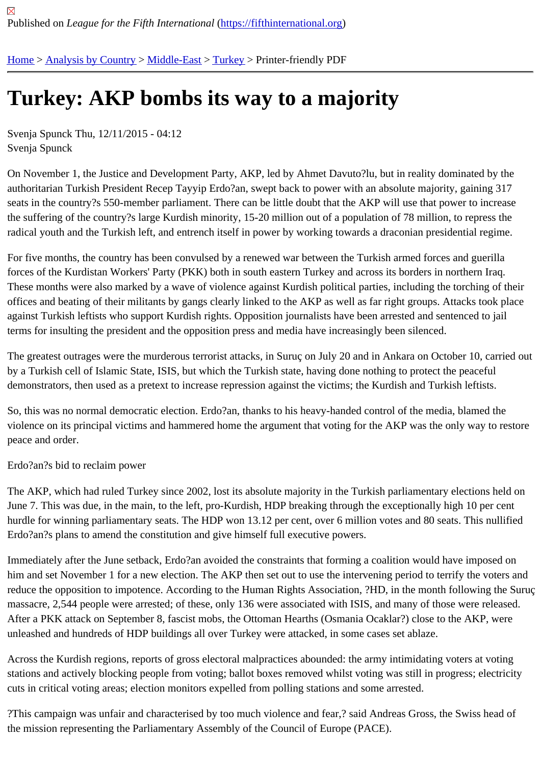## [Tur](https://fifthinternational.org/)[key: AKP](https://fifthinternational.org/category/1) [bombs](https://fifthinternational.org/category/1/178) i[ts w](https://fifthinternational.org/category/1/178/174)ay to a majority

Svenja Spunck Thu, 12/11/2015 - 04:12 Svenja Spunck

On November 1, the Justice and Development Party, AKP, led by Ahmet Davuto?lu, but in reality dominated by the authoritarian Turkish President Recep Tayyip Erdo?an, swept back to power with an absolute majority, gaining 317 seats in the country?s 550-member parliament. There can be little doubt that the AKP will use that power to increa the suffering of the country?s large Kurdish minority, 15-20 million out of a population of 78 million, to repress the radical youth and the Turkish left, and entrench itself in power by working towards a draconian presidential regime

For five months, the country has been convulsed by a renewed war between the Turkish armed forces and guerilla forces of the Kurdistan Workers' Party (PKK) both in south eastern Turkey and across its borders in northern Iraq. These months were also marked by a wave of violence against Kurdish political parties, including the torching of th offices and beating of their militants by gangs clearly linked to the AKP as well as far right groups. Attacks took pla against Turkish leftists who support Kurdish rights. Opposition journalists have been arrested and sentenced to jai terms for insulting the president and the opposition press and media have increasingly been silenced.

The greatest outrages were the murderous terrorist attacks, in Suruç on July 20 and in Ankara on October 10, cari by a Turkish cell of Islamic State, ISIS, but which the Turkish state, having done nothing to protect the peaceful demonstrators, then used as a pretext to increase repression against the victims; the Kurdish and Turkish leftists.

So, this was no normal democratic election. Erdo?an, thanks to his heavy-handed control of the media, blamed the violence on its principal victims and hammered home the argument that voting for the AKP was the only way to res peace and order.

## Erdo?an?s bid to reclaim power

The AKP, which had ruled Turkey since 2002, lost its absolute majority in the Turkish parliamentary elections held June 7. This was due, in the main, to the left, pro-Kurdish, HDP breaking through the exceptionally high 10 per cent hurdle for winning parliamentary seats. The HDP won 13.12 per cent, over 6 million votes and 80 seats. This nullif Erdo?an?s plans to amend the constitution and give himself full executive powers.

Immediately after the June setback, Erdo?an avoided the constraints that forming a coalition would have imposed him and set November 1 for a new election. The AKP then set out to use the intervening period to terrify the voters reduce the opposition to impotence. According to the Human Rights Association, ?HD, in the month following the S massacre, 2,544 people were arrested; of these, only 136 were associated with ISIS, and many of those were rele After a PKK attack on September 8, fascist mobs, the Ottoman Hearths (Osmania Ocaklar?) close to the AKP, were unleashed and hundreds of HDP buildings all over Turkey were attacked, in some cases set ablaze.

Across the Kurdish regions, reports of gross electoral malpractices abounded: the army intimidating voters at votin stations and actively blocking people from voting; ballot boxes removed whilst voting was still in progress; electricit cuts in critical voting areas; election monitors expelled from polling stations and some arrested.

?This campaign was unfair and characterised by too much violence and fear,? said Andreas Gross, the Swiss hea the mission representing the Parliamentary Assembly of the Council of Europe (PACE).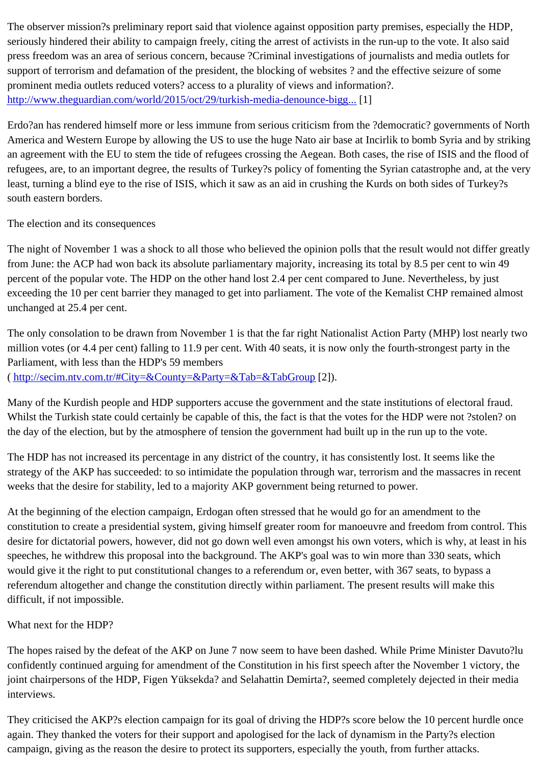seriously hindered their ability to campaign freely, citing the arrest of activists in the run-up to the vote. It also said press freedom was an area of serious concern, because ?Criminal investigations of journalists and media outlets f support of terrorism and defamation of the president, the blocking of websites ? and the effective seizure of some prominent media outlets reduced voters? access to a plurality of views and information?. http://www.theguardian.com/world/2015/oct/29/turkish-media-denounce-bigg...

Erdo?an has rendered himself more or less immune from serious criticism from the ?democratic? governments of [America and Western Europe by allowing the US to use the huge Nato a](http://www.theguardian.com/world/2015/oct/29/turkish-media-denounce-biggest-crackdown-on-press-in-republics-history)ir base at Incirlik to bomb Syria and by str an agreement with the EU to stem the tide of refugees crossing the Aegean. Both cases, the rise of ISIS and the fl refugees, are, to an important degree, the results of Turkey?s policy of fomenting the Syrian catastrophe and, at th least, turning a blind eye to the rise of ISIS, which it saw as an aid in crushing the Kurds on both sides of Turkey?s south eastern borders.

The election and its consequences

The night of November 1 was a shock to all those who believed the opinion polls that the result would not differ gre from June: the ACP had won back its absolute parliamentary majority, increasing its total by 8.5 per cent to win 49 percent of the popular vote. The HDP on the other hand lost 2.4 per cent compared to June. Nevertheless, by just exceeding the 10 per cent barrier they managed to get into parliament. The vote of the Kemalist CHP remained ali unchanged at 25.4 per cent.

The only consolation to be drawn from November 1 is that the far right Nationalist Action Party (MHP) lost nearly tw million votes (or 4.4 per cent) falling to 11.9 per cent. With 40 seats, it is now only the fourth-strongest party in the Parliament, with less than the HDP's 59 members ( http://secim.ntv.com.tr/#City=&County=&Party=&Tab=&TabGro[2]).

Many of the Kurdish people and HDP supporters accuse the government and the state institutions of electoral frau [Whilst the Turkish state could certainly be capable of this, the fac](http://secim.ntv.com.tr/#City=&County=&Party=&Tab=&TabGroup)t is that the votes for the HDP were not ?stolen? the day of the election, but by the atmosphere of tension the government had built up in the run up to the vote.

The HDP has not increased its percentage in any district of the country, it has consistently lost. It seems like the strategy of the AKP has succeeded: to so intimidate the population through war, terrorism and the massacres in re weeks that the desire for stability, led to a majority AKP government being returned to power.

At the beginning of the election campaign, Erdogan often stressed that he would go for an amendment to the constitution to create a presidential system, giving himself greater room for manoeuvre and freedom from control. desire for dictatorial powers, however, did not go down well even amongst his own voters, which is why, at least in speeches, he withdrew this proposal into the background. The AKP's goal was to win more than 330 seats, which would give it the right to put constitutional changes to a referendum or, even better, with 367 seats, to bypass a referendum altogether and change the constitution directly within parliament. The present results will make this difficult, if not impossible.

What next for the HDP?

The hopes raised by the defeat of the AKP on June 7 now seem to have been dashed. While Prime Minister Davu confidently continued arguing for amendment of the Constitution in his first speech after the November 1 victory, th joint chairpersons of the HDP, Figen Yüksekda? and Selahattin Demirta?, seemed completely dejected in their me interviews.

They criticised the AKP?s election campaign for its goal of driving the HDP?s score below the 10 percent hurdle o again. They thanked the voters for their support and apologised for the lack of dynamism in the Party?s election campaign, giving as the reason the desire to protect its supporters, especially the youth, from further attacks.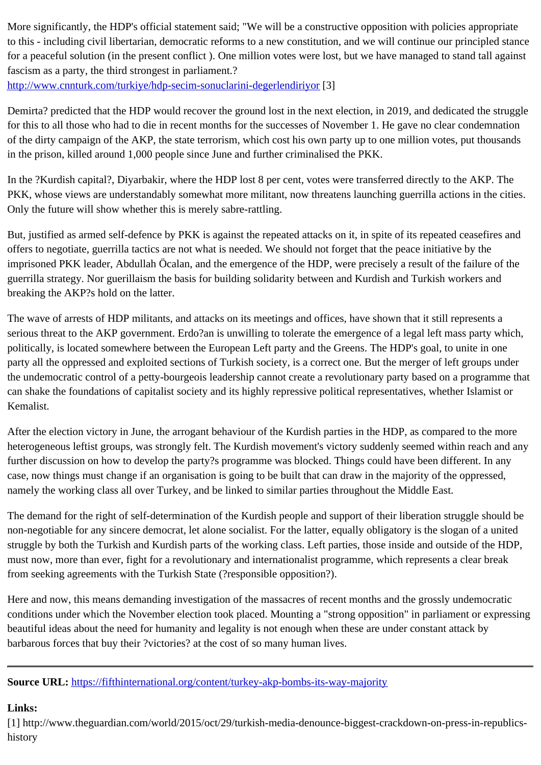to this - including civil libertarian, democratic reforms to a new constitution, and we will continue our principle for a peaceful solution (in the present conflict). One million votes were lost, but we have managed to stand tall against and tall against and the present conflict). fascism as a party, the third strongest in parliament.? http://www.cnnturk.com/turkiye/hdp-secim-sonuclarini-degerlendir[30]

Demirta? predicted that the HDP would recover the ground lost in the next election, in 2019, and dedicated the stri [for this to all those who had to die in recent months for the succes](http://www.cnnturk.com/turkiye/hdp-secim-sonuclarini-degerlendiriyor)ses of November 1. He gave no clear condemna of the dirty campaign of the AKP, the state terrorism, which cost his own party up to one million votes, put thousan in the prison, killed around 1,000 people since June and further criminalised the PKK.

In the ?Kurdish capital?, Diyarbakir, where the HDP lost 8 per cent, votes were transferred directly to the AKP. The PKK, whose views are understandably somewhat more militant, now threatens launching guerrilla actions in the ci Only the future will show whether this is merely sabre-rattling.

But, justified as armed self-defence by PKK is against the repeated attacks on it, in spite of its repeated ceasefires offers to negotiate, guerrilla tactics are not what is needed. We should not forget that the peace initiative by the imprisoned PKK leader, Abdullah Öcalan, and the emergence of the HDP, were precisely a result of the failure of the guerrilla strategy. Nor guerillaism the basis for building solidarity between and Kurdish and Turkish workers and breaking the AKP?s hold on the latter.

The wave of arrests of HDP militants, and attacks on its meetings and offices, have shown that it still represents a serious threat to the AKP government. Erdo?an is unwilling to tolerate the emergence of a legal left mass party wh politically, is located somewhere between the European Left party and the Greens. The HDP's goal, to unite in one party all the oppressed and exploited sections of Turkish society, is a correct one. But the merger of left groups un the undemocratic control of a petty-bourgeois leadership cannot create a revolutionary party based on a programn can shake the foundations of capitalist society and its highly repressive political representatives, whether Islamist or Kemalist.

After the election victory in June, the arrogant behaviour of the Kurdish parties in the HDP, as compared to the mo heterogeneous leftist groups, was strongly felt. The Kurdish movement's victory suddenly seemed within reach an further discussion on how to develop the party?s programme was blocked. Things could have been different. In ar case, now things must change if an organisation is going to be built that can draw in the majority of the oppressed, namely the working class all over Turkey, and be linked to similar parties throughout the Middle East.

The demand for the right of self-determination of the Kurdish people and support of their liberation struggle should non-negotiable for any sincere democrat, let alone socialist. For the latter, equally obligatory is the slogan of a unit struggle by both the Turkish and Kurdish parts of the working class. Left parties, those inside and outside of the HI must now, more than ever, fight for a revolutionary and internationalist programme, which represents a clear break from seeking agreements with the Turkish State (?responsible opposition?).

Here and now, this means demanding investigation of the massacres of recent months and the grossly undemocratic conditions under which the November election took placed. Mounting a "strong opposition" in parliament or expres beautiful ideas about the need for humanity and legality is not enough when these are under constant attack by barbarous forces that buy their ?victories? at the cost of so many human lives.

Source URL: https://fifthinternational.org/content/turkey-akp-bombs-its-way-majority

Links:

[1] http://ww[w.theguardian.com/world/2015/oct/29/turkish-media-denounce-bigg](https://fifthinternational.org/content/turkey-akp-bombs-its-way-majority)est-crackdown-on-press-in-republi history